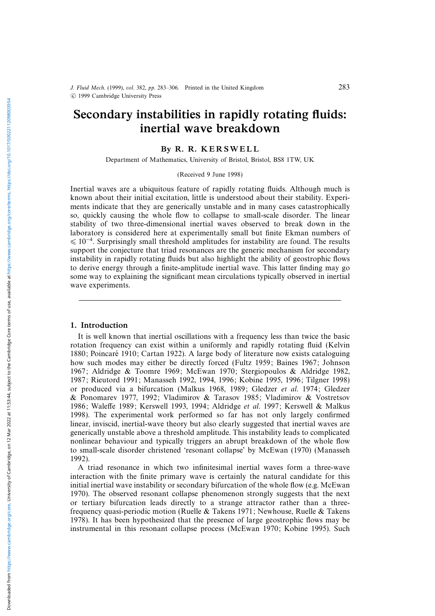# Secondary instabilities in rapidly rotating fluids: inertial wave breakdown

## By R. R. KERSWELL

Department of Mathematics, University of Bristol, Bristol, BS8 1TW, UK

#### (Received 9 June 1998)

Inertial waves are a ubiquitous feature of rapidly rotating fluids. Although much is known about their initial excitation, little is understood about their stability. Experiments indicate that they are generically unstable and in many cases catastrophically so, quickly causing the whole flow to collapse to small-scale disorder. The linear stability of two three-dimensional inertial waves observed to break down in the laboratory is considered here at experimentally small but finite Ekman numbers of  $\leq 10^{-4}$ . Surprisingly small threshold amplitudes for instability are found. The results support the conjecture that triad resonances are the generic mechanism for secondary instability in rapidly rotating fluids but also highlight the ability of geostrophic flows to derive energy through a finite-amplitude inertial wave. This latter finding may go some way to explaining the significant mean circulations typically observed in inertial wave experiments.

#### 1. Introduction

It is well known that inertial oscillations with a frequency less than twice the basic rotation frequency can exist within a uniformly and rapidly rotating fluid (Kelvin 1880; Poincaré 1910; Cartan 1922). A large body of literature now exists cataloguing how such modes may either be directly forced (Fultz 1959; Baines 1967; Johnson 1967; Aldridge & Toomre 1969; McEwan 1970; Stergiopoulos & Aldridge 1982, 1987; Rieutord 1991; Manasseh 1992, 1994, 1996; Kobine 1995, 1996; Tilgner 1998) or produced via a bifurcation (Malkus 1968, 1989; Gledzer et al. 1974; Gledzer & Ponomarev 1977, 1992; Vladimirov & Tarasov 1985; Vladimirov & Vostretsov 1986; Waleffe 1989; Kerswell 1993, 1994; Aldridge et al. 1997; Kerswell & Malkus 1998). The experimental work performed so far has not only largely confirmed linear, inviscid, inertial-wave theory but also clearly suggested that inertial waves are generically unstable above a threshold amplitude. This instability leads to complicated nonlinear behaviour and typically triggers an abrupt breakdown of the whole flow to small-scale disorder christened 'resonant collapse' by McEwan (1970) (Manasseh 1992).

A triad resonance in which two infinitesimal inertial waves form a three-wave interaction with the finite primary wave is certainly the natural candidate for this initial inertial wave instability or secondary bifurcation of the whole flow (e.g. McEwan 1970). The observed resonant collapse phenomenon strongly suggests that the next or tertiary bifurcation leads directly to a strange attractor rather than a threefrequency quasi-periodic motion (Ruelle & Takens 1971; Newhouse, Ruelle & Takens 1978). It has been hypothesized that the presence of large geostrophic flows may be instrumental in this resonant collapse process (McEwan 1970; Kobine 1995). Such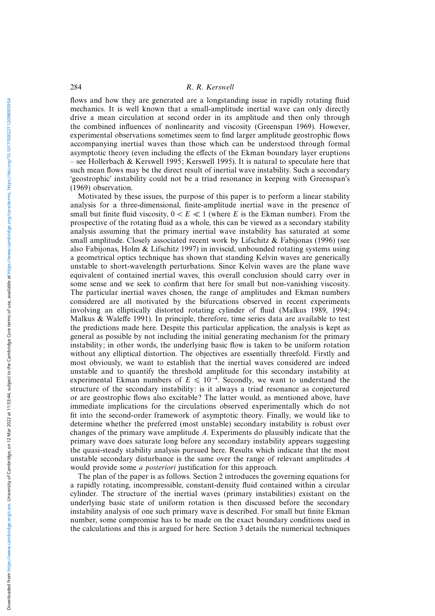flows and how they are generated are a longstanding issue in rapidly rotating fluid mechanics. It is well known that a small-amplitude inertial wave can only directly drive a mean circulation at second order in its amplitude and then only through the combined influences of nonlinearity and viscosity (Greenspan 1969). However, experimental observations sometimes seem to find larger amplitude geostrophic flows accompanying inertial waves than those which can be understood through formal asymptotic theory (even including the effects of the Ekman boundary layer eruptions – see Hollerbach & Kerswell 1995; Kerswell 1995). It is natural to speculate here that such mean flows may be the direct result of inertial wave instability. Such a secondary 'geostrophic' instability could not be a triad resonance in keeping with Greenspan's (1969) observation.

Motivated by these issues, the purpose of this paper is to perform a linear stability analysis for a three-dimensional, finite-amplitude inertial wave in the presence of small but finite fluid viscosity,  $0 < E \ll 1$  (where E is the Ekman number). From the prospective of the rotating fluid as a whole, this can be viewed as a secondary stability analysis assuming that the primary inertial wave instability has saturated at some small amplitude. Closely associated recent work by Lifschitz  $\&$  Fabijonas (1996) (see also Fabijonas, Holm & Lifschitz 1997) in inviscid, unbounded rotating systems using a geometrical optics technique has shown that standing Kelvin waves are generically unstable to short-wavelength perturbations. Since Kelvin waves are the plane wave equivalent of contained inertial waves, this overall conclusion should carry over in some sense and we seek to confirm that here for small but non-vanishing viscosity. The particular inertial waves chosen, the range of amplitudes and Ekman numbers considered are all motivated by the bifurcations observed in recent experiments involving an elliptically distorted rotating cylinder of fluid (Malkus 1989, 1994; Malkus & Waleffe 1991). In principle, therefore, time series data are available to test the predictions made here. Despite this particular application, the analysis is kept as general as possible by not including the initial generating mechanism for the primary instability; in other words, the underlying basic flow is taken to be uniform rotation without any elliptical distortion. The objectives are essentially threefold. Firstly and most obviously, we want to establish that the inertial waves considered are indeed unstable and to quantify the threshold amplitude for this secondary instability at experimental Ekman numbers of  $E \le 10^{-4}$ . Secondly, we want to understand the structure of the secondary instability: is it always a triad resonance as conjectured or are geostrophic flows also excitable? The latter would, as mentioned above, have immediate implications for the circulations observed experimentally which do not fit into the second-order framework of asymptotic theory. Finally, we would like to determine whether the preferred (most unstable) secondary instability is robust over changes of the primary wave amplitude A. Experiments do plausibly indicate that the primary wave does saturate long before any secondary instability appears suggesting the quasi-steady stability analysis pursued here. Results which indicate that the most unstable secondary disturbance is the same over the range of relevant amplitudes A would provide some a posteriori justification for this approach.

The plan of the paper is as follows. Section 2 introduces the governing equations for a rapidly rotating, incompressible, constant-density fluid contained within a circular cylinder. The structure of the inertial waves (primary instabilities) existant on the underlying basic state of uniform rotation is then discussed before the secondary instability analysis of one such primary wave is described. For small but finite Ekman number, some compromise has to be made on the exact boundary conditions used in the calculations and this is argued for here. Section 3 details the numerical techniques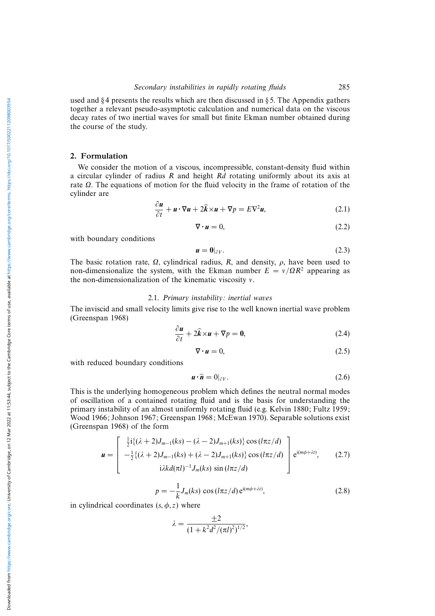used and  $§$ 4 presents the results which are then discussed in  $§$ 5. The Appendix gathers together a relevant pseudo-asymptotic calculation and numerical data on the viscous decay rates of two inertial waves for small but finite Ekman number obtained during the course of the study.

#### 2. Formulation

We consider the motion of a viscous, incompressible, constant-density fluid within a circular cylinder of radius R and height Rd rotating uniformly about its axis at rate Ω. The equations of motion for the fluid velocity in the frame of rotation of the cylinder are

$$
\frac{\partial u}{\partial t} + \mathbf{u} \cdot \nabla \mathbf{u} + 2\hat{\mathbf{k}} \times \mathbf{u} + \nabla p = E \nabla^2 \mathbf{u},\tag{2.1}
$$

$$
\nabla \cdot \mathbf{u} = 0,\tag{2.2}
$$

with boundary conditions

$$
\mathbf{u} = \mathbf{0}|_{\partial V}.\tag{2.3}
$$

The basic rotation rate,  $\Omega$ , cylindrical radius, R, and density,  $\rho$ , have been used to non-dimensionalize the system, with the Ekman number  $E = v/\Omega R^2$  appearing as the non-dimensionalization of the kinematic viscosity ν.

#### 2.1. Primary instability: inertial waves

The inviscid and small velocity limits give rise to the well known inertial wave problem (Greenspan 1968)

$$
\frac{\partial u}{\partial t} + 2\hat{k} \times u + \nabla p = 0, \qquad (2.4)
$$

$$
\nabla \cdot \mathbf{u} = 0,\tag{2.5}
$$

with reduced boundary conditions

$$
\mathbf{u} \cdot \hat{\mathbf{n}} = 0|_{\partial V}.\tag{2.6}
$$

This is the underlying homogeneous problem which defines the neutral normal modes of oscillation of a contained rotating fluid and is the basis for understanding the primary instability of an almost uniformly rotating fluid (e.g. Kelvin 1880; Fultz 1959; Wood 1966; Johnson 1967; Greenspan 1968; McEwan 1970). Separable solutions exist (Greenspan 1968) of the form

$$
\mathbf{u} = \begin{bmatrix} \frac{1}{2} \mathrm{i} \{ (\lambda + 2) J_{m-1}(ks) - (\lambda - 2) J_{m+1}(ks) \} \cos \left( (k \pi z / d) \right) \\ - \frac{1}{2} \{ (\lambda + 2) J_{m-1}(ks) + (\lambda - 2) J_{m+1}(ks) \} \cos \left( (k \pi z / d) \right) \\ \mathrm{i} \lambda k d(\pi l)^{-1} J_m(ks) \sin \left( (k \pi z / d) \right) \end{bmatrix} e^{i(m\phi + \lambda t)}, \quad (2.7)
$$

$$
p = -\frac{1}{k}J_m(ks)\cos(l\pi z/d)e^{i(m\phi + \lambda t)},\qquad(2.8)
$$

in cylindrical coordinates  $(s, \phi, z)$  where

$$
\lambda = \frac{\pm 2}{(1 + k^2 d^2 / (\pi l)^2)^{1/2}},
$$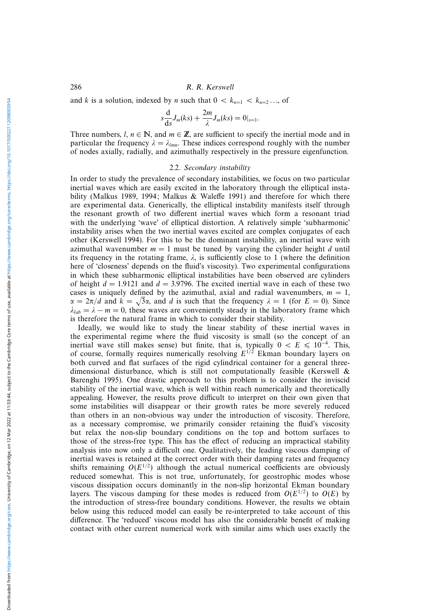and k is a solution, indexed by n such that  $0 < k_{n=1} < k_{n=2} \dots$  of

$$
s\frac{\mathrm{d}}{\mathrm{d}s}J_m(ks) + \frac{2m}{\lambda}J_m(ks) = 0|_{s=1}.
$$

Three numbers,  $l, n \in \mathbb{N}$ , and  $m \in \mathbb{Z}$ , are sufficient to specify the inertial mode and in particular the frequency  $\lambda = \lambda_{lmn}$ . These indices correspond roughly with the number of nodes axially, radially, and azimuthally respectively in the pressure eigenfunction.

## 2.2. Secondary instability

In order to study the prevalence of secondary instabilities, we focus on two particular inertial waves which are easily excited in the laboratory through the elliptical instability (Malkus 1989, 1994; Malkus & Waleffe 1991) and therefore for which there are experimental data. Generically, the elliptical instability manifests itself through the resonant growth of two different inertial waves which form a resonant triad with the underlying 'wave' of elliptical distortion. A relatively simple 'subharmonic' instability arises when the two inertial waves excited are complex conjugates of each other (Kerswell 1994). For this to be the dominant instability, an inertial wave with azimuthal wavenumber  $m = 1$  must be tuned by varying the cylinder height d until its frequency in the rotating frame,  $\lambda$ , is sufficiently close to 1 (where the definition here of 'closeness' depends on the fluid's viscosity). Two experimental configurations in which these subharmonic elliptical instabilities have been observed are cylinders of height  $d = 1.9121$  and  $d = 3.9796$ . The excited inertial wave in each of these two cases is uniquely defined by the azimuthal, axial and radial wavenumbers,  $m = 1$ , cases is uniquely defined by the azimuthal, axial and radial wavenumbers,  $m = 1$ ,  $\alpha = 2\pi/d$  and  $k = \sqrt{3}\alpha$ , and d is such that the frequency  $\lambda = 1$  (for  $E = 0$ ). Since  $\lambda_{lab} = \lambda - m = 0$ , these waves are conveniently steady in the laboratory frame which is therefore the natural frame in which to consider their stability.

Ideally, we would like to study the linear stability of these inertial waves in the experimental regime where the fluid viscosity is small (so the concept of an inertial wave still makes sense) but finite, that is, typically  $0 < E \le 10^{-4}$ . This, of course, formally requires numerically resolving  $E^{1/2}$  Ekman boundary layers on both curved and flat surfaces of the rigid cylindrical container for a general threedimensional disturbance, which is still not computationally feasible (Kerswell  $\&$ Barenghi 1995). One drastic approach to this problem is to consider the inviscid stability of the inertial wave, which is well within reach numerically and theoretically appealing. However, the results prove difficult to interpret on their own given that some instabilities will disappear or their growth rates be more severely reduced than others in an non-obvious way under the introduction of viscosity. Therefore, as a necessary compromise, we primarily consider retaining the fluid's viscosity but relax the non-slip boundary conditions on the top and bottom surfaces to those of the stress-free type. This has the effect of reducing an impractical stability analysis into now only a difficult one. Qualitatively, the leading viscous damping of inertial waves is retained at the correct order with their damping rates and frequency shifts remaining  $O(E^{1/2})$  although the actual numerical coefficients are obviously reduced somewhat. This is not true, unfortunately, for geostrophic modes whose viscous dissipation occurs dominantly in the non-slip horizontal Ekman boundary layers. The viscous damping for these modes is reduced from  $O(E^{1/2})$  to  $O(E)$  by the introduction of stress-free boundary conditions. However, the results we obtain below using this reduced model can easily be re-interpreted to take account of this difference. The 'reduced' viscous model has also the considerable benefit of making contact with other current numerical work with similar aims which uses exactly the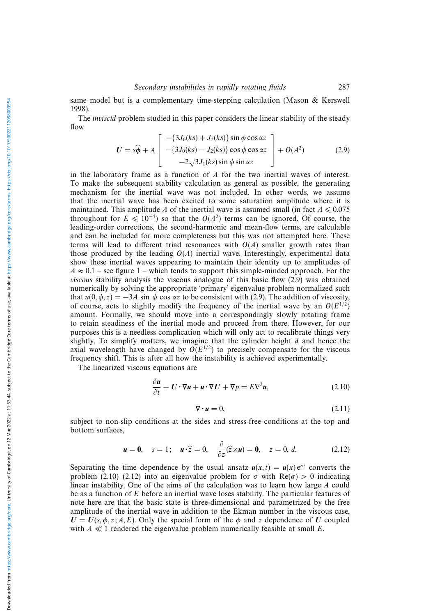same model but is a complementary time-stepping calculation (Mason & Kerswell 1998).

The inviscid problem studied in this paper considers the linear stability of the steady flow

$$
U = s\hat{\phi} + A \begin{bmatrix} -(3J_0(ks) + J_2(ks)) \sin \phi \cos \alpha z \\ -(3J_0(ks) - J_2(ks)) \cos \phi \cos \alpha z \\ -2\sqrt{3}J_1(ks) \sin \phi \sin \alpha z \end{bmatrix} + O(A^2)
$$
(2.9)

in the laboratory frame as a function of  $A$  for the two inertial waves of interest. To make the subsequent stability calculation as general as possible, the generating mechanism for the inertial wave was not included. In other words, we assume that the inertial wave has been excited to some saturation amplitude where it is maintained. This amplitude A of the inertial wave is assumed small (in fact  $A \le 0.075$ throughout for  $E \le 10^{-4}$ ) so that the  $O(A^2)$  terms can be ignored. Of course, the leading-order corrections, the second-harmonic and mean-flow terms, are calculable and can be included for more completeness but this was not attempted here. These terms will lead to different triad resonances with  $O(A)$  smaller growth rates than those produced by the leading  $O(A)$  inertial wave. Interestingly, experimental data show these inertial waves appearing to maintain their identity up to amplitudes of  $A \approx 0.1$  – see figure 1 – which tends to support this simple-minded approach. For the viscous stability analysis the viscous analogue of this basic flow (2.9) was obtained numerically by solving the appropriate 'primary' eigenvalue problem normalized such that  $u(0, \phi, z) = -3A \sin \phi \cos \alpha z$  to be consistent with (2.9). The addition of viscosity, of course, acts to slightly modify the frequency of the inertial wave by an  $O(E^{1/2})$ amount. Formally, we should move into a correspondingly slowly rotating frame to retain steadiness of the inertial mode and proceed from there. However, for our purposes this is a needless complication which will only act to recalibrate things very slightly. To simplify matters, we imagine that the cylinder height  $d$  and hence the axial wavelength have changed by  $O(E^{1/2})$  to precisely compensate for the viscous frequency shift. This is after all how the instability is achieved experimentally.

The linearized viscous equations are

$$
\frac{\partial u}{\partial t} + U \cdot \nabla u + u \cdot \nabla U + \nabla p = E \nabla^2 u,
$$
\n(2.10)

$$
\nabla \cdot \mathbf{u} = 0,\tag{2.11}
$$

subject to non-slip conditions at the sides and stress-free conditions at the top and bottom surfaces,

$$
\mathbf{u} = \mathbf{0}, \quad s = 1; \quad \mathbf{u} \cdot \hat{\mathbf{z}} = 0, \quad \frac{\partial}{\partial z} (\hat{\mathbf{z}} \times \mathbf{u}) = \mathbf{0}, \quad z = 0, d. \tag{2.12}
$$

Separating the time dependence by the usual ansatz  $u(x, t) = u(x)e^{\sigma t}$  converts the problem (2.10)–(2.12) into an eigenvalue problem for  $\sigma$  with Re( $\sigma$ ) > 0 indicating linear instability. One of the aims of the calculation was to learn how large A could be as a function of E before an inertial wave loses stability. The particular features of note here are that the basic state is three-dimensional and parametrized by the free amplitude of the inertial wave in addition to the Ekman number in the viscous case,  $U = U(s, \phi, z; A, E)$ . Only the special form of the  $\phi$  and z dependence of *U* coupled with  $A \ll 1$  rendered the eigenvalue problem numerically feasible at small E.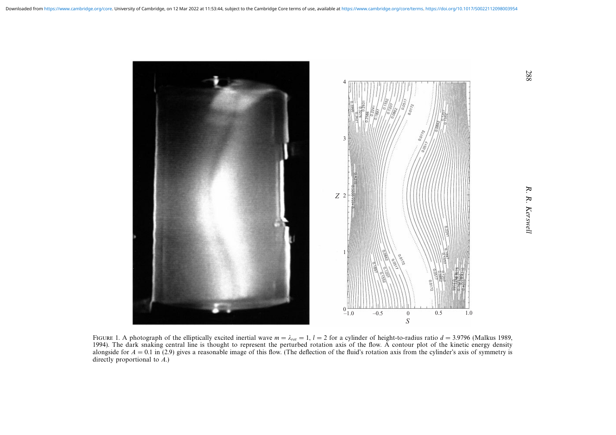

FIGURE 1. A photograph of the elliptically excited inertial wave  $m = \lambda_{rot} = 1$ ,  $l = 2$  for a cylinder of height-to-radius ratio  $d = 3.9796$  (Malkus 1989, 1994). The dark snaking central line is thought to represent the perturbed rotation axis of the flow. A contour plot of the kinetic energy density alongside for  $A = 0.1$  in (2.9) gives a reasonable image of this flow. (The deflection of the fluid's rotation axis from the cylinder's axis of symmetry is directly proportional to  $A$ .)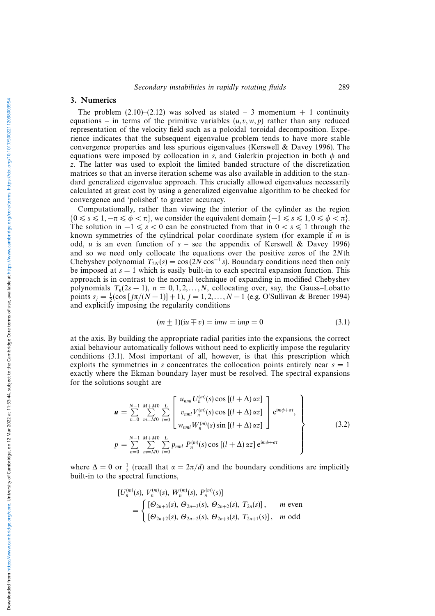### 3. Numerics

The problem  $(2.10)$ – $(2.12)$  was solved as stated – 3 momentum + 1 continuity equations – in terms of the primitive variables  $(u, v, w, p)$  rather than any reduced representation of the velocity field such as a poloidal–toroidal decomposition. Experience indicates that the subsequent eigenvalue problem tends to have more stable convergence properties and less spurious eigenvalues (Kerswell & Davey 1996). The equations were imposed by collocation in s, and Galerkin projection in both  $\phi$  and z. The latter was used to exploit the limited banded structure of the discretization matrices so that an inverse iteration scheme was also available in addition to the standard generalized eigenvalue approach. This crucially allowed eigenvalues necessarily calculated at great cost by using a generalized eigenvalue algorithm to be checked for convergence and 'polished' to greater accuracy.

Computationally, rather than viewing the interior of the cylinder as the region  ${0 \le s \le 1, -\pi \le \phi < \pi}$ , we consider the equivalent domain  ${-1 \le s \le 1, 0 \le \phi < \pi}$ . The solution in  $-1 \le s < 0$  can be constructed from that in  $0 < s \le 1$  through the known symmetries of the cylindrical polar coordinate system (for example if m is odd, u is an even function of  $s$  – see the appendix of Kerswell & Davey 1996) and so we need only collocate the equations over the positive zeros of the 2Nth Chebyshev polynomial  $T_{2N}(s) = \cos(2N\cos^{-1}s)$ . Boundary conditions need then only be imposed at  $s = 1$  which is easily built-in to each spectral expansion function. This approach is in contrast to the normal technique of expanding in modified Chebyshev polynomials  $T_n(2s-1)$ ,  $n = 0, 1, 2, ..., N$ , collocating over, say, the Gauss–Lobatto points  $s_j = \frac{1}{2} (\cos [j\pi/(N-1)] + 1), j = 1, 2, ..., N - 1$  (e.g. O'Sullivan & Breuer 1994) and explicitly imposing the regularity conditions

$$
(m \pm 1)(\mathrm{i}u \mp v) = \mathrm{i}mv = \mathrm{i}mp = 0 \tag{3.1}
$$

at the axis. By building the appropriate radial parities into the expansions, the correct axial behaviour automatically follows without need to explicitly impose the regularity conditions (3.1). Most important of all, however, is that this prescription which exploits the symmetries in s concentrates the collocation points entirely near  $s = 1$ exactly where the Ekman boundary layer must be resolved. The spectral expansions for the solutions sought are

$$
\mathbf{u} = \sum_{n=0}^{N-1} \sum_{m=M0}^{M+M0} \sum_{l=0}^{L} \left[ \frac{u_{nml} U_n^{(m)}(s) \cos [(l + \Delta) \alpha z]}{v_{nml} V_n^{(m)}(s) \cos [(l + \Delta) \alpha z]} \right] e^{im\phi + \sigma t},
$$
  
\n
$$
p = \sum_{n=0}^{N-1} \sum_{m=M0}^{M+M0} \sum_{l=0}^{L} p_{nml} P_n^{(m)}(s) \cos [(l + \Delta) \alpha z] e^{im\phi + \sigma t} \qquad (3.2)
$$

where  $\Delta = 0$  or  $\frac{1}{2}$  (recall that  $\alpha = 2\pi/d$ ) and the boundary conditions are implicitly built-in to the spectral functions,

$$
[U_n^{(m)}(s), V_n^{(m)}(s), W_n^{(m)}(s), P_n^{(m)}(s)]
$$
  
= 
$$
\begin{cases} [\Theta_{2n+3}(s), \Theta_{2n+3}(s), \Theta_{2n+2}(s), T_{2n}(s)], & m \text{ even} \\ [\Theta_{2n+2}(s), \Theta_{2n+2}(s), \Theta_{2n+3}(s), T_{2n+1}(s)], & m \text{ odd} \end{cases}
$$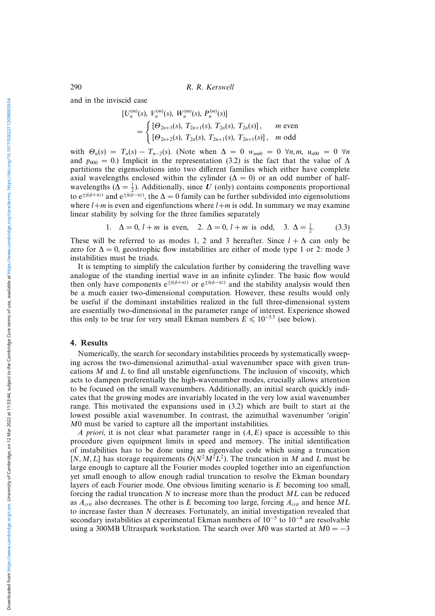and in the inviscid case

$$
[U_n^{(m)}(s), V_n^{(m)}(s), W_n^{(m)}(s), P_n^{(m)}(s)]
$$
  
= 
$$
\begin{cases} [\Theta_{2n+3}(s), T_{2n+1}(s), T_{2n}(s), T_{2n}(s)], & m \text{ even} \\ [\Theta_{2n+2}(s), T_{2n}(s), T_{2n+1}(s), T_{2n+1}(s)], & m \text{ odd} \end{cases}
$$

with  $\Theta_n(s) = T_n(s) - T_{n-2}(s)$ . (Note when  $\Delta = 0$  w<sub>nm0</sub> = 0  $\forall n, m, u_{n00} = 0$   $\forall n$ and  $p_{000} = 0$ .) Implicit in the representation (3.2) is the fact that the value of  $\Delta$ partitions the eigensolutions into two different families which either have complete axial wavelengths enclosed within the cylinder ( $\Delta = 0$ ) or an odd number of halfwavelengths ( $\Delta = \frac{1}{2}$ ). Additionally, since *U* (only) contains components proportional to e<sup>±i(φ+αz)</sup> and e<sup>±i(φ-αz)</sup>, the  $\Delta = 0$  family can be further subdivided into eigensolutions where  $l+m$  is even and eigenfunctions where  $l+m$  is odd. In summary we may examine linear stability by solving for the three families separately

1. 
$$
\Delta = 0
$$
,  $l + m$  is even, 2.  $\Delta = 0$ ,  $l + m$  is odd, 3.  $\Delta = \frac{1}{2}$ . (3.3)

These will be referred to as modes 1, 2 and 3 hereafter. Since  $l + \Delta$  can only be zero for  $\Delta = 0$ , geostrophic flow instabilities are either of mode type 1 or 2: mode 3 instabilities must be triads.

It is tempting to simplify the calculation further by considering the travelling wave analogue of the standing inertial wave in an infinite cylinder. The basic flow would then only have components  $e^{\pm i(\phi + \alpha z)}$  or  $e^{\pm i(\phi - \alpha z)}$  and the stability analysis would then be a much easier two-dimensional computation. However, these results would only be useful if the dominant instabilities realized in the full three-dimensional system are essentially two-dimensional in the parameter range of interest. Experience showed this only to be true for very small Ekman numbers  $E \le 10^{-5.5}$  (see below).

#### 4. Results

Numerically, the search for secondary instabilities proceeds by systematically sweeping across the two-dimensional azimuthal–axial wavenumber space with given truncations  $M$  and  $L$  to find all unstable eigenfunctions. The inclusion of viscosity, which acts to dampen preferentially the high-wavenumber modes, crucially allows attention to be focused on the small wavenumbers. Additionally, an initial search quickly indicates that the growing modes are invariably located in the very low axial wavenumber range. This motivated the expansions used in (3.2) which are built to start at the lowest possible axial wavenumber. In contrast, the azimuthal wavenumber 'origin' M0 must be varied to capture all the important instabilities.

A priori, it is not clear what parameter range in  $(A, E)$  space is accessible to this procedure given equipment limits in speed and memory. The initial identification of instabilities has to be done using an eigenvalue code which using a truncation  $[N, M, L]$  has storage requirements  $O(N^2M^2L^2)$ . The truncation in M and L must be large enough to capture all the Fourier modes coupled together into an eigenfunction yet small enough to allow enough radial truncation to resolve the Ekman boundary layers of each Fourier mode. One obvious limiting scenario is  $E$  becoming too small, forcing the radial truncation N to increase more than the product ML can be reduced as  $A_{crit}$  also decreases. The other is E becoming too large, forcing  $A_{crit}$  and hence ML to increase faster than N decreases. Fortunately, an initial investigation revealed that secondary instabilities at experimental Ekman numbers of 10<sup>−</sup><sup>5</sup> to 10<sup>−</sup><sup>4</sup> are resolvable using a 300MB Ultraspark workstation. The search over M0 was started at  $M0 = -3$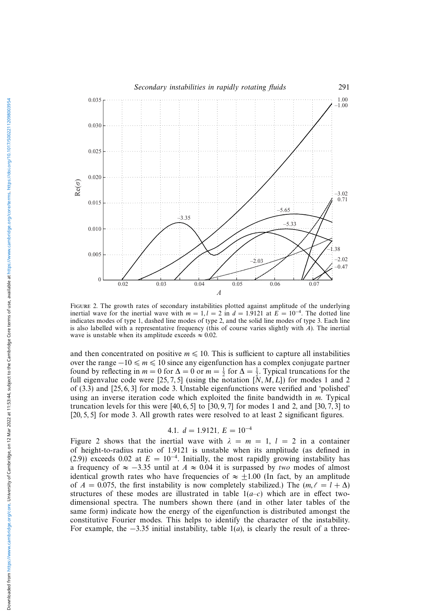

Figure 2. The growth rates of secondary instabilities plotted against amplitude of the underlying inertial wave for the inertial wave with  $m = 1, l = 2$  in  $d = 1.9121$  at  $E = 10^{-4}$ . The dotted line indicates modes of type 1, dashed line modes of type 2, and the solid line modes of type 3. Each line is also labelled with a representative frequency (this of course varies slightly with A). The inertial wave is unstable when its amplitude exceeds  $\approx 0.02$ .

and then concentrated on positive  $m \leq 10$ . This is sufficient to capture all instabilities over the range  $-10 \le m \le 10$  since any eigenfunction has a complex conjugate partner found by reflecting in  $m = 0$  for  $\Delta = 0$  or  $m = \frac{1}{2}$  for  $\Delta = \frac{1}{2}$ . Typical truncations for the full eigenvalue code were [25, 7, 5] (using the notation  $[\tilde{N}, M, L]$ ) for modes 1 and 2 of (3.3) and [25, 6, 3] for mode 3. Unstable eigenfunctions were verified and 'polished' using an inverse iteration code which exploited the finite bandwidth in  $m$ . Typical truncation levels for this were  $[40, 6, 5]$  to  $[30, 9, 7]$  for modes 1 and 2, and  $[30, 7, 3]$  to [20, 5, 5] for mode 3. All growth rates were resolved to at least 2 significant figures.

4.1. 
$$
d = 1.9121
$$
,  $E = 10^{-4}$ 

Figure 2 shows that the inertial wave with  $\lambda = m = 1$ ,  $l = 2$  in a container of height-to-radius ratio of 1.9121 is unstable when its amplitude (as defined in (2.9)) exceeds 0.02 at  $E = 10^{-4}$ . Initially, the most rapidly growing instability has a frequency of  $\approx -3.35$  until at  $A \approx 0.04$  it is surpassed by two modes of almost identical growth rates who have frequencies of  $\approx \pm 1.00$  (In fact, by an amplitude of  $A = 0.075$ , the first instability is now completely stabilized.) The  $(m, \ell = l + \Delta)$ structures of these modes are illustrated in table  $1(a-c)$  which are in effect twodimensional spectra. The numbers shown there (and in other later tables of the same form) indicate how the energy of the eigenfunction is distributed amongst the constitutive Fourier modes. This helps to identify the character of the instability. For example, the  $-3.35$  initial instability, table 1(*a*), is clearly the result of a three-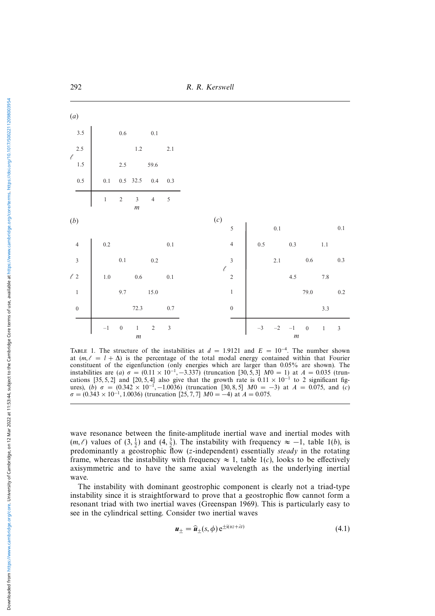292 R. R. Kerswell

| (a)                            |           |                  |                           |                |                |                   |                                               |      |         |                          |                  |         |            |
|--------------------------------|-----------|------------------|---------------------------|----------------|----------------|-------------------|-----------------------------------------------|------|---------|--------------------------|------------------|---------|------------|
| $3.5$<br>2.5                   |           | $0.6\,$          |                           | $0.1\,$        |                |                   |                                               |      |         |                          |                  |         |            |
|                                |           |                  | $1.2\,$                   |                | 2.1            |                   |                                               |      |         |                          |                  |         |            |
| $\ell$<br>1.5<br>0.5           |           | $2.5\,$          |                           | 59.6           |                |                   |                                               |      |         |                          |                  |         |            |
|                                | $0.1\,$   |                  | $0.5$ 32.5                | $0.4\,$        | $0.3\,$        |                   |                                               |      |         |                          |                  |         |            |
|                                | $\,1$     | $\overline{c}$   | $\frac{3}{m}$             | $\overline{4}$ | $\sqrt{5}$     |                   |                                               |      |         |                          |                  |         |            |
| (b)                            |           |                  |                           |                |                | $\left( c\right)$ |                                               |      | 0.1     |                          |                  |         | $0.1\,$    |
|                                | $0.2\,$   |                  |                           |                | 0.1            |                   | $\frac{5}{4}$                                 | 0.5  |         | 0.3                      |                  | $1.1\,$ |            |
| $4$<br>3<br>$2$<br>1<br>0<br>0 |           | 0.1              |                           | $0.2\,$        |                |                   | $\overline{\mathbf{3}}$                       |      | 2.1     |                          | $0.6\,$          |         | $0.3\,$    |
|                                | $1.0\,$   |                  | $0.6\,$                   |                | 0.1            |                   | $\begin{array}{c} 3 \\ \ell \\ 2 \end{array}$ |      |         | 4.5                      |                  | $7.8\,$ |            |
|                                |           | 9.7              |                           | 15.0           |                |                   | $\overline{1}$                                |      |         |                          | 79.0             |         | $0.2\,$    |
|                                |           |                  | 72.3                      |                | $0.7\,$        |                   | $\boldsymbol{0}$                              |      |         |                          |                  | 3.3     |            |
|                                | $^{-1}\,$ | $\boldsymbol{0}$ | $\,1$<br>$\boldsymbol{m}$ | $\sqrt{2}$     | $\overline{3}$ |                   |                                               | $-3$ | $^{-2}$ | $-1$<br>$\boldsymbol{m}$ | $\boldsymbol{0}$ | $\,1\,$ | $\sqrt{3}$ |

TABLE 1. The structure of the instabilities at  $d = 1.9121$  and  $E = 10^{-4}$ . The number shown at  $(m, \ell = l + \Delta)$  is the percentage of the total modal energy contained within that Fourier constituent of the eigenfunction (only energies which are larger than 0.05% are shown). The instabilities are (a)  $\sigma = (0.11 \times 10^{-1}, -3.337)$  (truncation [30, 5, 3]  $M0 = 1$ ) at  $A = 0.035$  (truncations [35, 5, 2] and [20, 5, 4] also give that the growth rate is  $0.11 \times 10^{-1}$  to 2 significant figures), (b)  $\sigma = (0.342 \times 10^{-1}, -1.0036)$  (truncation [30, 8, 5]  $M0 = -3$ ) at  $A = 0.075$ , and (c)  $\sigma = (0.343 \times 10^{-1}, 1.0036)$  (truncation [25, 7, 7]  $M0 = -4$ ) at  $A = 0.075$ .

wave resonance between the finite-amplitude inertial wave and inertial modes with  $(m, \ell)$  values of  $(3, \frac{1}{2})$  and  $(4, \frac{3}{2})$ . The instability with frequency  $\approx -1$ , table 1(b), is predominantly a geostrophic flow (z-independent) essentially steady in the rotating frame, whereas the instability with frequency  $\approx 1$ , table 1(*c*), looks to be effectively axisymmetric and to have the same axial wavelength as the underlying inertial wave.

The instability with dominant geostrophic component is clearly not a triad-type instability since it is straightforward to prove that a geostrophic flow cannot form a resonant triad with two inertial waves (Greenspan 1969). This is particularly easy to see in the cylindrical setting. Consider two inertial waves

$$
\boldsymbol{u}_{\pm} = \widehat{\boldsymbol{u}}_{\pm}(s,\phi) \,\mathrm{e}^{\pm\mathrm{i}(\alpha z + \lambda t)}\tag{4.1}
$$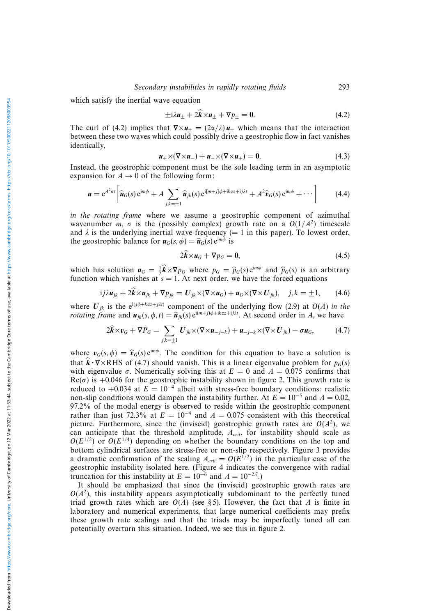which satisfy the inertial wave equation

$$
\pm i\lambda u_{\pm} + 2\mathbf{k} \times u_{\pm} + \nabla p_{\pm} = \mathbf{0}.\tag{4.2}
$$

The curl of (4.2) implies that  $\nabla \times u_+ = (2\alpha/\lambda)u_+$  which means that the interaction between these two waves which could possibly drive a geostrophic flow in fact vanishes identically,

$$
\mathbf{u}_{+} \times (\nabla \times \mathbf{u}_{-}) + \mathbf{u}_{-} \times (\nabla \times \mathbf{u}_{+}) = \mathbf{0}.\tag{4.3}
$$

Instead, the geostrophic component must be the sole leading term in an asymptotic expansion for  $A \rightarrow 0$  of the following form:

$$
\mathbf{u} = e^{A^2 \sigma t} \left[ \widehat{\mathbf{u}}_G(s) e^{im\phi} + A \sum_{j,k=\pm 1} \widehat{\mathbf{u}}_{jk}(s) e^{i[m+j]\phi + ik\alpha z + ij\lambda t} + A^2 \widehat{\mathbf{v}}_G(s) e^{im\phi} + \cdots \right]
$$
(4.4)

in the rotating frame where we assume a geostrophic component of azimuthal wavenumber m,  $\sigma$  is the (possibly complex) growth rate on a  $O(1/A^2)$  timescale and  $\lambda$  is the underlying inertial wave frequency (= 1 in this paper). To lowest order, the geostrophic balance for  $u_G(s, \phi) = \hat{u}_G(s) e^{im\phi}$  is

$$
2k \times u_G + \nabla p_G = 0, \qquad (4.5)
$$

which has solution  $u_G = \frac{1}{2}\hat{k} \times \nabla p_G$  where  $p_G = \hat{p}_G(s) e^{im\phi}$  and  $\hat{p}_G(s)$  is an arbitrary function which vanishes at  $s = 1$ . At next order, we have the forced equations

$$
ij\lambda \mathbf{u}_{jk} + 2\mathbf{k} \times \mathbf{u}_{jk} + \nabla p_{jk} = \mathbf{U}_{jk} \times (\nabla \times \mathbf{u}_G) + \mathbf{u}_G \times (\nabla \times \mathbf{U}_{jk}), \quad j,k = \pm 1, \qquad (4.6)
$$

where  $U_{jk}$  is the e<sup>i(j $\phi$ +kaz+j $\lambda$ t) component of the underlying flow (2.9) at  $O(A)$  in the</sup> *rotating frame and*  $u_{jk}(s, \phi, t) = \hat{u}_{jk}(s) e^{i(m+j)\phi + ik\alpha z + ij\lambda t}$ . At second order in A, we have

$$
2\widehat{k}\times v_G + \nabla P_G = \sum_{j,k=\pm 1} U_{jk}\times (\nabla\times\mathbf{u}_{-j-k}) + \mathbf{u}_{-j-k}\times (\nabla\times U_{jk}) - \sigma\mathbf{u}_G, \tag{4.7}
$$

where  $v_G(s, \phi) = \hat{v}_G(s) e^{im\phi}$ . The condition for this equation to have a solution is that  $k \cdot \nabla \times \text{RHS}$  of (4.7) should vanish. This is a linear eigenvalue problem for  $p_G(s)$ with eigenvalue  $\sigma$ . Numerically solving this at  $E = 0$  and  $A = 0.075$  confirms that  $Re(\sigma)$  is +0.046 for the geostrophic instability shown in figure 2. This growth rate is reduced to +0.034 at  $E = 10^{-4}$  albeit with stress-free boundary conditions: realistic non-slip conditions would dampen the instability further. At  $E = 10^{-5}$  and  $A = 0.02$ , 97.2% of the modal energy is observed to reside within the geostrophic component rather than just 72.3% at  $E = 10^{-4}$  and  $A = 0.075$  consistent with this theoretical picture. Furthermore, since the (inviscid) geostrophic growth rates are  $O(A^2)$ , we can anticipate that the threshold amplitude,  $A_{crit}$ , for instability should scale as  $O(E^{1/2})$  or  $O(E^{1/4})$  depending on whether the boundary conditions on the top and bottom cylindrical surfaces are stress-free or non-slip respectively. Figure 3 provides a dramatic confirmation of the scaling  $A_{crit} = O(E^{1/2})$  in the particular case of the geostrophic instability isolated here. (Figure 4 indicates the convergence with radial truncation for this instability at  $E = 10^{-6}$  and  $A = 10^{-2.7}$ .)

It should be emphasized that since the (inviscid) geostrophic growth rates are  $O(A^2)$ , this instability appears asymptotically subdominant to the perfectly tuned triad growth rates which are  $O(A)$  (see § 5). However, the fact that A is finite in laboratory and numerical experiments, that large numerical coefficients may prefix these growth rate scalings and that the triads may be imperfectly tuned all can potentially overturn this situation. Indeed, we see this in figure 2.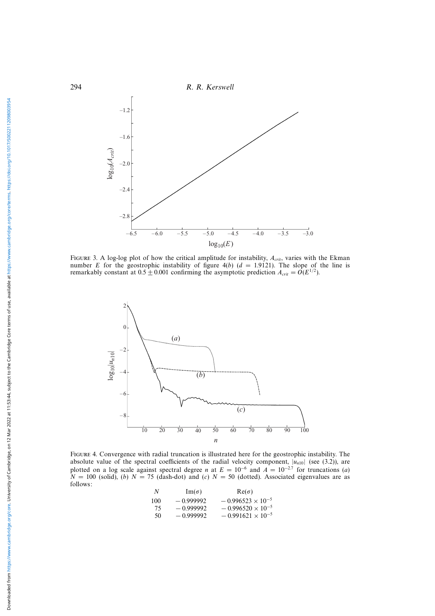

FIGURE 3. A log-log plot of how the critical amplitude for instability,  $A_{crit}$ , varies with the Ekman number E for the geostrophic instability of figure  $4(b)$  ( $d = 1.9121$ ). The slope of the line is remarkably constant at  $0.5 \pm 0.001$  confirming the asymptotic prediction  $A_{crit} = O(E^{1/2})$ .



Figure 4. Convergence with radial truncation is illustrated here for the geostrophic instability. The absolute value of the spectral coefficients of the radial velocity component,  $|u_{n10}|$  (see (3.2)), are plotted on a log scale against spectral degree *n* at  $E = 10^{-6}$  and  $A = 10^{-2.7}$  for truncations (a)  $N = 100$  (solid), (b)  $N = 75$  (dash-dot) and (c)  $N = 50$  (dotted). Associated eigenvalues are as follows:

| N   | $\text{Im}(\sigma)$ | $Re(\sigma)$               |
|-----|---------------------|----------------------------|
| 100 | $-0.999992$         | $-0.996523 \times 10^{-5}$ |
| 75  | $-0.999992$         | $-0.996520 \times 10^{-5}$ |
| 50  | $-0.999992$         | $-0.991621 \times 10^{-5}$ |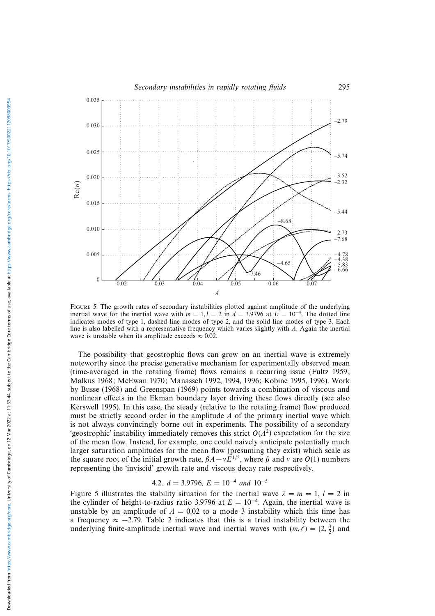

Figure 5. The growth rates of secondary instabilities plotted against amplitude of the underlying inertial wave for the inertial wave with  $m = 1, l = 2$  in  $d = 3.9796$  at  $E = 10^{-4}$ . The dotted line indicates modes of type 1, dashed line modes of type 2, and the solid line modes of type 3. Each line is also labelled with a representative frequency which varies slightly with A. Again the inertial wave is unstable when its amplitude exceeds  $\approx 0.02$ .

The possibility that geostrophic flows can grow on an inertial wave is extremely noteworthy since the precise generative mechanism for experimentally observed mean (time-averaged in the rotating frame) flows remains a recurring issue (Fultz 1959; Malkus 1968; McEwan 1970; Manasseh 1992, 1994, 1996; Kobine 1995, 1996). Work by Busse (1968) and Greenspan (1969) points towards a combination of viscous and nonlinear effects in the Ekman boundary layer driving these flows directly (see also Kerswell 1995). In this case, the steady (relative to the rotating frame) flow produced must be strictly second order in the amplitude  $A$  of the primary inertial wave which is not always convincingly borne out in experiments. The possibility of a secondary 'geostrophic' instability immediately removes this strict  $O(A^2)$  expectation for the size of the mean flow. Instead, for example, one could naively anticipate potentially much larger saturation amplitudes for the mean flow (presuming they exist) which scale as the square root of the initial growth rate,  $\beta A - vE^{1/2}$ , where  $\beta$  and v are  $O(1)$  numbers representing the 'inviscid' growth rate and viscous decay rate respectively.

## 4.2.  $d = 3.9796$ ,  $E = 10^{-4}$  and  $10^{-5}$

Figure 5 illustrates the stability situation for the inertial wave  $\lambda = m = 1, l = 2$  in the cylinder of height-to-radius ratio 3.9796 at  $E = 10^{-4}$ . Again, the inertial wave is unstable by an amplitude of  $A = 0.02$  to a mode 3 instability which this time has a frequency  $\approx -2.79$ . Table 2 indicates that this is a triad instability between the underlying finite-amplitude inertial wave and inertial waves with  $(m, \ell) = (2, \frac{3}{2})$  and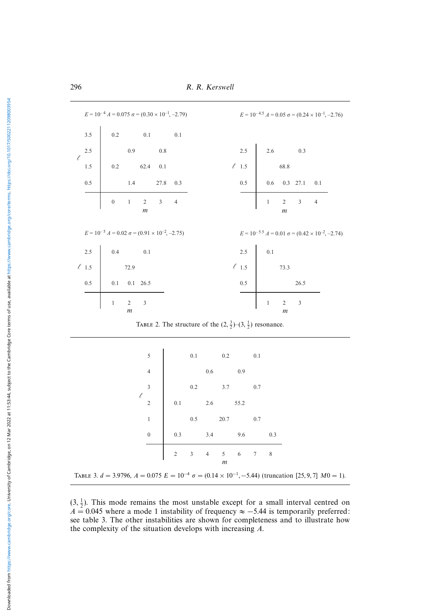296 R. R. Kerswell

|               | $E = 10^{-4} A = 0.075 \sigma = (0.30 \times 10^{-1}, -2.79)$     |            |                                                        | $E = 10^{-4.5} A = 0.05 \sigma = (0.24 \times 10^{-1}, -2.76)$ |
|---------------|-------------------------------------------------------------------|------------|--------------------------------------------------------|----------------------------------------------------------------|
| 3.5           | 0.2 0.1 0.1<br>0.9 0.8<br>0.2 62.4 0.1<br>1.4 27.8 0.3            |            |                                                        |                                                                |
| 2.5<br>$\ell$ |                                                                   |            | 2.5 2.6 0.3<br>$\ell$ 1.5 68.8                         |                                                                |
| 1.5           |                                                                   |            |                                                        |                                                                |
| 0.5           |                                                                   | 0.5        | $\begin{bmatrix} 0.6 & 0.3 & 27.1 & 0.1 \end{bmatrix}$ |                                                                |
|               | $1 \quad 2 \quad 3 \quad 4$<br>$\boldsymbol{0}$<br>$\mathfrak{m}$ |            | $\bar{1}$<br>$\mathfrak{m}$                            | $2 \t 3 \t 4$                                                  |
|               | $E = 10^{-5}$ $A = 0.02$ $\sigma = (0.91 \times 10^{-2}, -2.75)$  |            |                                                        | $E = 10^{-5.5} A = 0.01 \sigma = (0.42 \times 10^{-2}, -2.74)$ |
| 2.5           |                                                                   | $2.5\,$    | $0.1\,$                                                |                                                                |
| $\ell$ 1.5    | $\begin{bmatrix} 0.4 & 0.1 \\ 72.9 & \end{bmatrix}$               | $\ell$ 1.5 | 73.3                                                   |                                                                |
| 0.5           | $0.1$ $0.1$ $26.5$                                                | 0.5        |                                                        | 26.5                                                           |
|               | $\overline{2}$<br>$\overline{3}$<br>$\,1$<br>$\mathfrak{m}$       |            | $\overline{2}$<br>$\mathbf{1}$<br>m                    | $\mathfrak{Z}$                                                 |

TABLE 2. The structure of the  $(2, \frac{3}{2})$ - $(3, \frac{1}{2})$  resonance.

|   | 5              |            | 0.1 |                | 0.2    |      | 0.1 |     |
|---|----------------|------------|-----|----------------|--------|------|-----|-----|
|   | $\overline{4}$ |            |     | 0.6            |        | 0.9  |     |     |
|   | 3              |            | 0.2 |                | 3.7    |      | 0.7 |     |
| l | $\overline{2}$ | 0.1        |     | 2.6            |        | 55.2 |     |     |
|   | $\,1\,$        |            | 0.5 |                | 20.7   |      | 0.7 |     |
|   | $\overline{0}$ | 0.3        |     | 3.4            |        | 9.6  |     | 0.3 |
|   |                | $\sqrt{2}$ | 3   | $\overline{4}$ | 5<br>m | 6    | 7   | 8   |

TABLE 3.  $d = 3.9796$ ,  $A = 0.075$   $E = 10^{-4}$   $\sigma = (0.14 \times 10^{-1}, -5.44)$  (truncation [25, 9, 7]  $M0 = 1$ ).

 $(3, \frac{1}{2})$ . This mode remains the most unstable except for a small interval centred on  $A = 0.045$  where a mode 1 instability of frequency  $\approx -5.44$  is temporarily preferred: see table 3. The other instabilities are shown for completeness and to illustrate how the complexity of the situation develops with increasing A.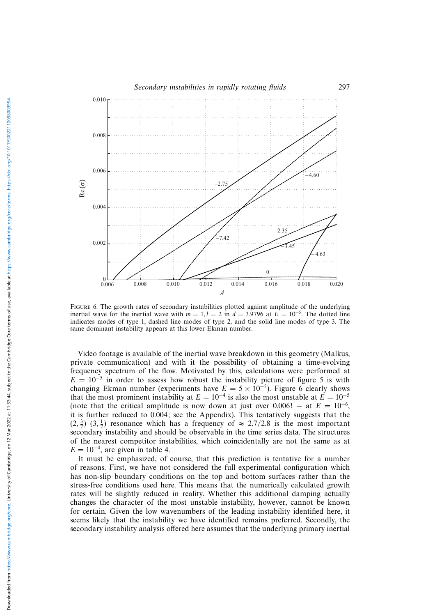

Figure 6. The growth rates of secondary instabilities plotted against amplitude of the underlying inertial wave for the inertial wave with  $m = 1, l = 2$  in  $d = 3.9796$  at  $E = 10^{-5}$ . The dotted line indicates modes of type 1, dashed line modes of type 2, and the solid line modes of type 3. The same dominant instability appears at this lower Ekman number.

Video footage is available of the inertial wave breakdown in this geometry (Malkus, private communication) and with it the possibility of obtaining a time-evolving frequency spectrum of the flow. Motivated by this, calculations were performed at  $E = 10^{-5}$  in order to assess how robust the instability picture of figure 5 is with changing Ekman number (experiments have  $E = 5 \times 10^{-5}$ ). Figure 6 clearly shows that the most prominent instability at  $E = 10^{-4}$  is also the most unstable at  $E = 10^{-5}$ (note that the critical amplitude is now down at just over 0.006! – at  $E = 10^{-6}$ . it is further reduced to 0.004; see the Appendix). This tentatively suggests that the  $(2, \frac{3}{2})$  $-(3, \frac{1}{2})$  resonance which has a frequency of  $\approx 2.7/2.8$  is the most important secondary instability and should be observable in the time series data. The structures of the nearest competitor instabilities, which coincidentally are not the same as at  $E = 10^{-4}$ , are given in table 4.

It must be emphasized, of course, that this prediction is tentative for a number of reasons. First, we have not considered the full experimental configuration which has non-slip boundary conditions on the top and bottom surfaces rather than the stress-free conditions used here. This means that the numerically calculated growth rates will be slightly reduced in reality. Whether this additional damping actually changes the character of the most unstable instability, however, cannot be known for certain. Given the low wavenumbers of the leading instability identified here, it seems likely that the instability we have identified remains preferred. Secondly, the secondary instability analysis offered here assumes that the underlying primary inertial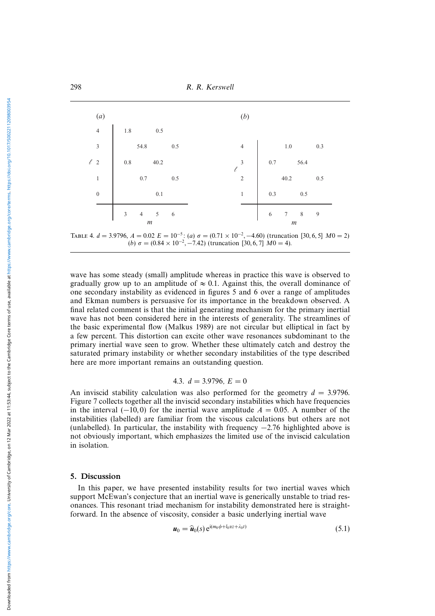

TABLE 4.  $d = 3.9796$ ,  $A = 0.02$   $E = 10^{-5}$ : (a)  $\sigma = (0.71 \times 10^{-2}, -4.60)$  (truncation [30, 6, 5]  $M0 = 2$ ) (b)  $\sigma = (0.84 \times 10^{-2}, -7.42)$  (truncation [30, 6, 7]  $M0 = 4$ ).

wave has some steady (small) amplitude whereas in practice this wave is observed to gradually grow up to an amplitude of  $\approx 0.1$ . Against this, the overall dominance of one secondary instability as evidenced in figures 5 and 6 over a range of amplitudes and Ekman numbers is persuasive for its importance in the breakdown observed. A final related comment is that the initial generating mechanism for the primary inertial wave has not been considered here in the interests of generality. The streamlines of the basic experimental flow (Malkus 1989) are not circular but elliptical in fact by a few percent. This distortion can excite other wave resonances subdominant to the primary inertial wave seen to grow. Whether these ultimately catch and destroy the saturated primary instability or whether secondary instabilities of the type described here are more important remains an outstanding question.

#### 4.3.  $d = 3.9796$ ,  $E = 0$

An inviscid stability calculation was also performed for the geometry  $d = 3.9796$ . Figure 7 collects together all the inviscid secondary instabilities which have frequencies in the interval (−10,0) for the inertial wave amplitude  $A = 0.05$ . A number of the instabilities (labelled) are familiar from the viscous calculations but others are not (unlabelled). In particular, the instability with frequency −2.76 highlighted above is not obviously important, which emphasizes the limited use of the inviscid calculation in isolation.

#### 5. Discussion

In this paper, we have presented instability results for two inertial waves which support McEwan's conjecture that an inertial wave is generically unstable to triad resonances. This resonant triad mechanism for instability demonstrated here is straightforward. In the absence of viscosity, consider a basic underlying inertial wave

$$
\boldsymbol{u}_0 = \widehat{\boldsymbol{u}}_0(s) e^{i(m_0\phi + l_0\alpha z + \lambda_0 t)}
$$
\n(5.1)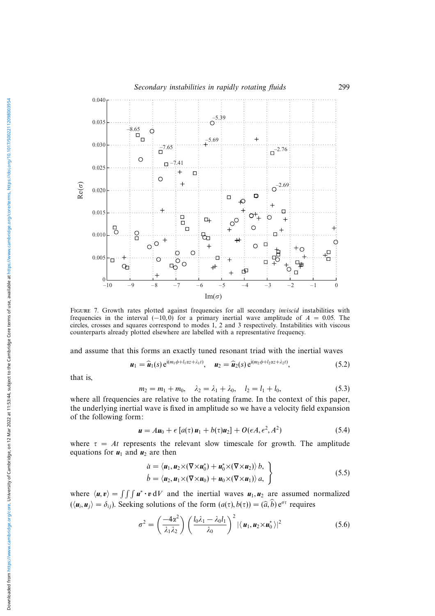

FIGURE 7. Growth rates plotted against frequencies for all secondary *inviscid* instabilities with frequencies in the interval  $(-10, 0)$  for a primary inertial wave amplitude of  $A = 0.05$ . The circles, crosses and squares correspond to modes 1, 2 and 3 respectively. Instabilities with viscous counterparts already plotted elsewhere are labelled with a representative frequency.

and assume that this forms an exactly tuned resonant triad with the inertial waves

$$
\boldsymbol{u}_1 = \widehat{\boldsymbol{u}}_1(s) e^{i(m_1\phi + l_1\alpha z + \lambda_1 t)}, \quad \boldsymbol{u}_2 = \widehat{\boldsymbol{u}}_2(s) e^{i(m_2\phi + l_2\alpha z + \lambda_2 t)}, \tag{5.2}
$$

that is,

$$
m_2 = m_1 + m_0, \quad \lambda_2 = \lambda_1 + \lambda_0, \quad l_2 = l_1 + l_0,\tag{5.3}
$$

where all frequencies are relative to the rotating frame. In the context of this paper, the underlying inertial wave is fixed in amplitude so we have a velocity field expansion of the following form:

$$
\mathbf{u} = A\mathbf{u}_0 + \epsilon \left[ a(\tau) \mathbf{u}_1 + b(\tau) \mathbf{u}_2 \right] + O(\epsilon A, \epsilon^2, A^2) \tag{5.4}
$$

where  $\tau = At$  represents the relevant slow timescale for growth. The amplitude equations for  $u_1$  and  $u_2$  are then

$$
\dot{a} = \langle \mathbf{u}_1, \mathbf{u}_2 \times (\nabla \times \mathbf{u}_0^*) + \mathbf{u}_0^* \times (\nabla \times \mathbf{u}_2) \rangle b, \n\dot{b} = \langle \mathbf{u}_2, \mathbf{u}_1 \times (\nabla \times \mathbf{u}_0) + \mathbf{u}_0 \times (\nabla \times \mathbf{u}_1) \rangle a, \quad \right\}
$$
\n(5.5)

where  $\langle u, v \rangle = \int \int \int u^* \cdot v \, dV$  and the inertial waves  $u_1, u_2$  are assumed normalized  $(\langle u_i, u_j \rangle = \delta_{ij})$ . Seeking solutions of the form  $(a(\tau), b(\tau)) = (\widehat{a}, \widehat{b}) e^{\sigma \tau}$  requires

$$
\sigma^2 = \left(\frac{-4\alpha^2}{\lambda_1 \lambda_2}\right) \left(\frac{l_0 \lambda_1 - \lambda_0 l_1}{\lambda_0}\right)^2 |\langle \mathbf{u}_1, \mathbf{u}_2 \times \mathbf{u}_0^* \rangle|^2 \tag{5.6}
$$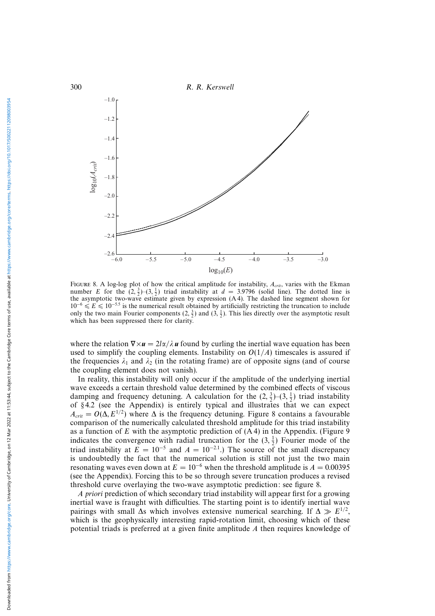

FIGURE 8. A log-log plot of how the critical amplitude for instability,  $A_{crit}$ , varies with the Ekman number E for the  $(2, \frac{3}{2})$  $(3, \frac{1}{2})$  triad instability at  $d = 3.9796$  (solid line). The dotted line is the asymptotic two-wave estimate given by expression (A 4). The dashed line segment shown for  $10^{-6} \le E \le 10^{-5.5}$  is the numerical result obtained by artificially restricting the truncation to include only the two main Fourier components  $(2, \frac{3}{2})$  and  $(3, \frac{1}{2})$ . This lies directly over the asymptotic result which has been suppressed there for clarity.

where the relation  $\nabla \times u = 2l\alpha/\lambda u$  found by curling the inertial wave equation has been used to simplify the coupling elements. Instability on  $O(1/A)$  timescales is assured if the frequencies  $\lambda_1$  and  $\lambda_2$  (in the rotating frame) are of opposite signs (and of course the coupling element does not vanish).

In reality, this instability will only occur if the amplitude of the underlying inertial wave exceeds a certain threshold value determined by the combined effects of viscous damping and frequency detuning. A calculation for the  $(2, \frac{3}{2})$ - $(3, \frac{1}{2})$  triad instability of § 4.2 (see the Appendix) is entirely typical and illustrates that we can expect  $A_{crit} = O(\Delta, E^{1/2})$  where  $\Delta$  is the frequency detuning. Figure 8 contains a favourable comparison of the numerically calculated threshold amplitude for this triad instability as a function of  $E$  with the asymptotic prediction of  $(A 4)$  in the Appendix. (Figure 9) indicates the convergence with radial truncation for the  $(3, \frac{1}{2})$  Fourier mode of the triad instability at  $E = 10^{-5}$  and  $A = 10^{-2.1}$ .) The source of the small discrepancy is undoubtedly the fact that the numerical solution is still not just the two main resonating waves even down at  $E = 10^{-6}$  when the threshold amplitude is  $A = 0.00395$ (see the Appendix). Forcing this to be so through severe truncation produces a revised threshold curve overlaying the two-wave asymptotic prediction: see figure 8.

A priori prediction of which secondary triad instability will appear first for a growing inertial wave is fraught with difficulties. The starting point is to identify inertial wave pairings with small ∆s which involves extensive numerical searching. If  $\Delta \gg E^{1/2}$ , which is the geophysically interesting rapid-rotation limit, choosing which of these potential triads is preferred at a given finite amplitude A then requires knowledge of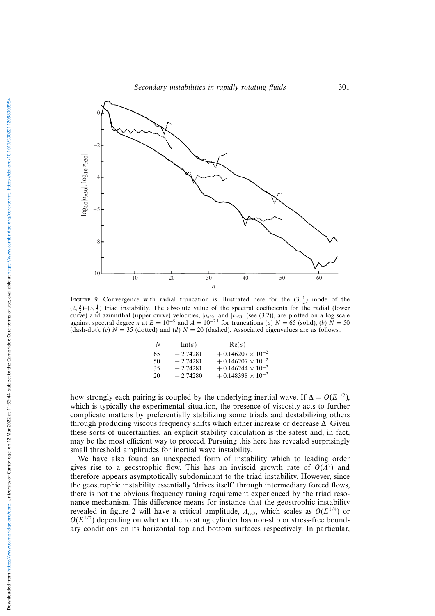

FIGURE 9. Convergence with radial truncation is illustrated here for the  $(3, \frac{1}{2})$  mode of the  $(2, \frac{3}{2})$  (3,  $\frac{1}{2}$ ) triad instability. The absolute value of the spectral coefficients for the radial (lower curve) and azimuthal (upper curve) velocities,  $|u_{n30}|$  and  $|v_{n30}|$  (see (3.2)), are plotted on a log scale against spectral degree *n* at  $E = 10^{-5}$  and  $A = 10^{-2.1}$  for truncations (a)  $N = 65$  (solid), (b)  $N = 50$ (dash-dot), (c)  $N = 35$  (dotted) and (d)  $N = 20$  (dashed). Associated eigenvalues are as follows:

| N  | $\text{Im}(\sigma)$ | $Re(\sigma)$               |
|----|---------------------|----------------------------|
| 65 | $-2.74281$          | $+0.146207 \times 10^{-2}$ |
| 50 | $-2.74281$          | $+0.146207 \times 10^{-2}$ |
| 35 | $-2.74281$          | $+0.146244 \times 10^{-2}$ |
| 20 | $-2.74280$          | $+0.148398 \times 10^{-2}$ |

how strongly each pairing is coupled by the underlying inertial wave. If  $\Delta = O(E^{1/2})$ , which is typically the experimental situation, the presence of viscosity acts to further complicate matters by preferentially stabilizing some triads and destabilizing others through producing viscous frequency shifts which either increase or decrease ∆. Given these sorts of uncertainties, an explicit stability calculation is the safest and, in fact, may be the most efficient way to proceed. Pursuing this here has revealed surprisingly small threshold amplitudes for inertial wave instability.

We have also found an unexpected form of instability which to leading order gives rise to a geostrophic flow. This has an inviscid growth rate of  $O(A^2)$  and therefore appears asymptotically subdominant to the triad instability. However, since the geostrophic instability essentially 'drives itself' through intermediary forced flows, there is not the obvious frequency tuning requirement experienced by the triad resonance mechanism. This difference means for instance that the geostrophic instability revealed in figure 2 will have a critical amplitude,  $A_{crit}$ , which scales as  $O(E^{1/4})$  or  $O(E^{1/2})$  depending on whether the rotating cylinder has non-slip or stress-free boundary conditions on its horizontal top and bottom surfaces respectively. In particular,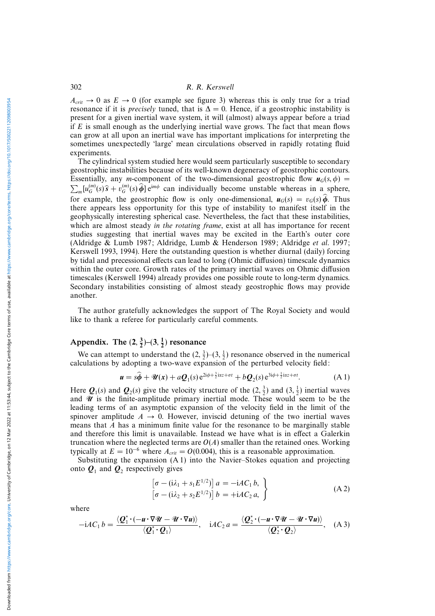$A_{crit} \rightarrow 0$  as  $E \rightarrow 0$  (for example see figure 3) whereas this is only true for a triad resonance if it is *precisely* tuned, that is  $\Delta = 0$ . Hence, if a geostrophic instability is present for a given inertial wave system, it will (almost) always appear before a triad if  $E$  is small enough as the underlying inertial wave grows. The fact that mean flows can grow at all upon an inertial wave has important implications for interpreting the sometimes unexpectedly 'large' mean circulations observed in rapidly rotating fluid experiments.

The cylindrical system studied here would seem particularly susceptible to secondary geostrophic instabilities because of its well-known degeneracy of geostrophic contours.  $\sum_m [u_G^{(m)}(s)\hat{\mathbf{s}} + v_G^{(m)}(s)\hat{\boldsymbol{\phi}}]e^{im\phi}$  can individually become unstable whereas in a sphere, Essentially, any *m*-component of the two-dimensional geostrophic flow  $u_G(s, \phi)$  = for example, the geostrophic flow is only one-dimensional,  $u_G(s) = v_G(s)\hat{\phi}$ . Thus there appears less opportunity for this type of instability to manifest itself in the geophysically interesting spherical case. Nevertheless, the fact that these instabilities, which are almost steady in the rotating frame, exist at all has importance for recent studies suggesting that inertial waves may be excited in the Earth's outer core (Aldridge & Lumb 1987; Aldridge, Lumb & Henderson 1989; Aldridge et al. 1997; Kerswell 1993, 1994). Here the outstanding question is whether diurnal (daily) forcing by tidal and precessional effects can lead to long (Ohmic diffusion) timescale dynamics within the outer core. Growth rates of the primary inertial waves on Ohmic diffusion timescales (Kerswell 1994) already provides one possible route to long-term dynamics. Secondary instabilities consisting of almost steady geostrophic flows may provide another.

The author gratefully acknowledges the support of The Royal Society and would like to thank a referee for particularly careful comments.

## Appendix. The  $(2, \frac{3}{2})$ – $(3, \frac{1}{2})$  resonance

We can attempt to understand the  $(2, \frac{3}{2})$ - $(3, \frac{1}{2})$  resonance observed in the numerical calculations by adopting a two-wave expansion of the perturbed velocity field:

$$
\mathbf{u} = s\widehat{\boldsymbol{\phi}} + \mathcal{U}(\mathbf{x}) + a\mathcal{Q}_1(s) e^{2i\phi + \frac{3}{2}i\alpha z + \sigma t} + b\mathcal{Q}_2(s) e^{3i\phi + \frac{1}{2}i\alpha z + \sigma t}.
$$
 (A1)

Here  $Q_1(s)$  and  $Q_2(s)$  give the velocity structure of the  $(2, \frac{3}{2})$  and  $(3, \frac{1}{2})$  inertial waves and  $\mathscr U$  is the finite-amplitude primary inertial mode. These would seem to be the leading terms of an asymptotic expansion of the velocity field in the limit of the spinover amplitude  $A \rightarrow 0$ . However, inviscid detuning of the two inertial waves means that A has a minimum finite value for the resonance to be marginally stable and therefore this limit is unavailable. Instead we have what is in effect a Galerkin truncation where the neglected terms are  $O(A)$  smaller than the retained ones. Working typically at  $E = 10^{-6}$  where  $A_{crit} = O(0.004)$ , this is a reasonable approximation.

Substituting the expansion (A 1) into the Navier–Stokes equation and projecting onto  $Q_1$  and  $Q_2$  respectively gives

$$
\begin{aligned}\n\left[\sigma - (\mathrm{i}\lambda_1 + s_1 E^{1/2})\right] a &= -\mathrm{i}AC_1 b, \\
\left[\sigma - (\mathrm{i}\lambda_2 + s_2 E^{1/2})\right] b &= +\mathrm{i}AC_2 a,\n\end{aligned}
$$
\n(A2)

where

$$
-iAC_1 b = \frac{\langle \mathbf{Q}_1^* \cdot (-\mathbf{u} \cdot \nabla \mathbf{W} - \mathbf{W} \cdot \nabla \mathbf{u}) \rangle}{\langle \mathbf{Q}_1^* \cdot \mathbf{Q}_1 \rangle}, \quad iAC_2 a = \frac{\langle \mathbf{Q}_2^* \cdot (-\mathbf{u} \cdot \nabla \mathbf{W} - \mathbf{W} \cdot \nabla \mathbf{u}) \rangle}{\langle \mathbf{Q}_2^* \cdot \mathbf{Q}_2 \rangle}, \quad (A 3)
$$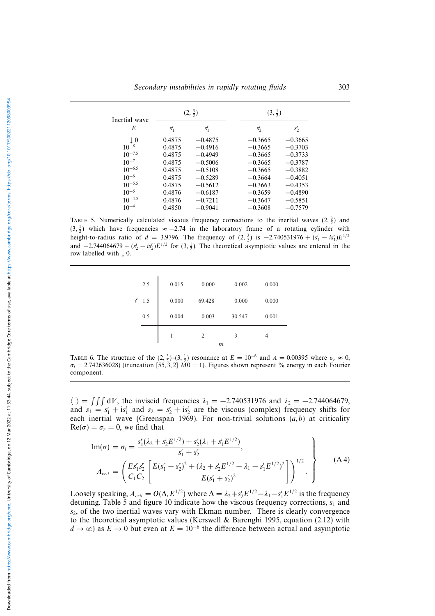| Inertial wave |         | $(2,\frac{3}{2})$ | $(3, \frac{1}{2})$     |  |  |
|---------------|---------|-------------------|------------------------|--|--|
| E             | $S_1^l$ | $S_1^r$           | $S_2^l$<br>$S_2^r$     |  |  |
| $\perp 0$     | 0.4875  | $-0.4875$         | $-0.3665$<br>$-0.3665$ |  |  |
| $10^{-8}$     | 0.4875  | $-0.4916$         | $-0.3665$<br>$-0.3703$ |  |  |
| $10^{-7.5}$   | 0.4875  | $-0.4949$         | $-0.3733$<br>$-0.3665$ |  |  |
| $10^{-7}$     | 0.4875  | $-0.5006$         | $-0.3787$<br>$-0.3665$ |  |  |
| $10^{-6.5}$   | 0.4875  | $-0.5108$         | $-0.3882$<br>$-0.3665$ |  |  |
| $10^{-6}$     | 0.4875  | $-0.5289$         | $-0.3664$<br>$-0.4051$ |  |  |
| $10^{-5.5}$   | 0.4875  | $-0.5612$         | $-0.3663$<br>$-0.4353$ |  |  |
| $10^{-5}$     | 0.4876  | $-0.6187$         | $-0.3659$<br>$-0.4890$ |  |  |
| $10^{-4.5}$   | 0.4876  | $-0.7211$         | $-0.5851$<br>$-0.3647$ |  |  |
| $10^{-4}$     | 0.4850  | $-0.9041$         | $-0.7579$<br>$-0.3608$ |  |  |

TABLE 5. Numerically calculated viscous frequency corrections to the inertial waves  $(2, \frac{3}{2})$  and  $(3, \frac{1}{2})$  which have frequencies  $\approx -2.74$  in the laboratory frame of a rotating cylinder with height-to-radius ratio of  $d = 3.9796$ . The frequency of  $(2, \frac{3}{2})$  is  $-2.740531976 + (s_1^i - is_1^i)E^{1/2}$ and  $-2.744064679 + (s_2^i - is_2^i)E^{1/2}$  for  $(3, \frac{1}{2})$ . The theoretical asymptotic values are entered in the row labelled with  $\downarrow$  0.

|     |       | m              |        |       |
|-----|-------|----------------|--------|-------|
|     |       | $\overline{2}$ | 3      | 4     |
| 0.5 | 0.004 | 0.003          | 30.547 | 0.001 |
| 1.5 | 0.000 | 69.428         | 0.000  | 0.000 |
| 2.5 | 0.015 | 0.000          | 0.002  | 0.000 |
|     |       |                |        |       |

TABLE 6. The structure of the  $(2, \frac{3}{2})$  (3,  $\frac{1}{2}$ ) resonance at  $E = 10^{-6}$  and  $A = 0.00395$  where  $\sigma_r \approx 0$ ,  $\sigma_i = 2.742636028$ ) (truncation [55, 3, 2]  $\tilde{M}0 = 1$ ). Figures shown represent % energy in each Fourier component.

 $\langle \rangle = \int \int \int dV$ , the inviscid frequencies  $\lambda_1 = -2.740531976$  and  $\lambda_2 = -2.744064679$ , and  $s_1 = s_1^r + is_1^i$  and  $s_2 = s_2^r + is_2^i$  are the viscous (complex) frequency shifts for each inertial wave (Greenspan 1969). For non-trivial solutions  $(a, b)$  at criticality  $Re(\sigma) = \sigma_r = 0$ , we find that

$$
\text{Im}(\sigma) = \sigma_i = \frac{s_1^r(\lambda_2 + s_2^i E^{1/2}) + s_2^r(\lambda_1 + s_1^i E^{1/2})}{s_1^r + s_2^r},
$$
\n
$$
A_{crit} = \left(\frac{E s_1^r s_2^r}{C_1 C_2} \left[ \frac{E(s_1^r + s_2^r)^2 + (\lambda_2 + s_2^i E^{1/2} - \lambda_1 - s_1^i E^{1/2})^2}{E(s_1^r + s_2^r)^2} \right] \right)^{1/2}.
$$
\n(A4)

Loosely speaking,  $A_{crit} = O(\Delta, E^{1/2})$  where  $\Delta = \lambda_2 + s_2^i E^{1/2} - \lambda_1 - s_1^i E^{1/2}$  is the frequency detuning. Table 5 and figure 10 indicate how the viscous frequency corrections,  $s<sub>1</sub>$  and  $s<sub>2</sub>$ , of the two inertial waves vary with Ekman number. There is clearly convergence to the theoretical asymptotic values (Kerswell & Barenghi 1995, equation (2.12) with  $d \to \infty$ ) as  $E \to 0$  but even at  $E = 10^{-6}$  the difference between actual and asymptotic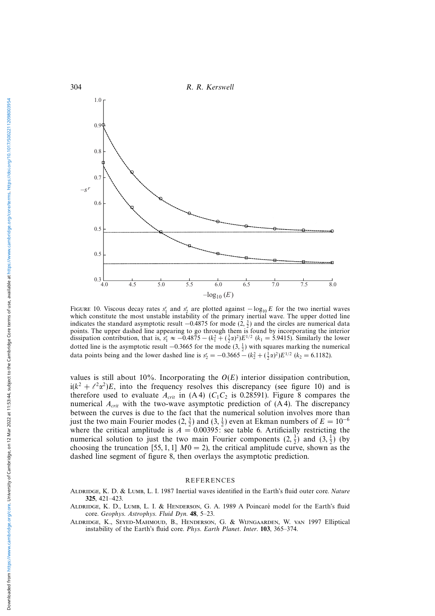

FIGURE 10. Viscous decay rates  $s_1^r$  and  $s_2^r$  are plotted against  $-\log_{10} E$  for the two inertial waves which constitute the most unstable instability of the primary inertial wave. The upper dotted line indicates the standard asymptotic result  $-0.4875$  for mode  $(2, \frac{3}{2})$  and the circles are numerical data points. The upper dashed line appearing to go through them is found by incorporating the interior dissipation contribution, that is,  $s_1 \approx -0.4875 - (k_1^2 + (\frac{3}{2}\alpha)^2)E^{1/2}$  ( $k_1 = 5.9415$ ). Similarly the lower dotted line is the asymptotic result  $-0.3665$  for the mode  $(3, \frac{1}{2})$  with squares marking the numerical data points being and the lower dashed line is  $s'_2 = -0.3665 - (k_2^2 + (\frac{1}{2}\alpha)^2)E^{1/2}$  ( $k_2 = 6.1182$ ).

values is still about 10%. Incorporating the  $O(E)$  interior dissipation contribution,  $i(k^2 + \ell^2 \alpha^2)E$ , into the frequency resolves this discrepancy (see figure 10) and is therefore used to evaluate  $A_{crit}$  in (A4) ( $C_1C_2$  is 0.28591). Figure 8 compares the numerical  $A_{crit}$  with the two-wave asymptotic prediction of (A 4). The discrepancy between the curves is due to the fact that the numerical solution involves more than just the two main Fourier modes  $(2, \frac{3}{2})$  and  $(3, \frac{1}{2})$  even at Ekman numbers of  $E = 10^{-6}$ where the critical amplitude is  $A = 0.00395$ : see table 6. Artificially restricting the numerical solution to just the two main Fourier components  $(2, \frac{3}{2})$  and  $(3, \frac{1}{2})$  (by choosing the truncation [55, 1, 1]  $M0 = 2$ ), the critical amplitude curve, shown as the dashed line segment of figure 8, then overlays the asymptotic prediction.

#### REFERENCES

- ALDRIDGE, K. D. & LUMB, L. I. 1987 Inertial waves identified in the Earth's fluid outer core. Nature **325**, 421–423.
- ALDRIDGE, K. D., LUMB, L. I. & HENDERSON, G. A. 1989 A Poincaré model for the Earth's fluid core. Geophys. Astrophys. Fluid Dyn. **48**, 5–23.
- Aldridge, K., Seyed-Mahmoud, B., Henderson, G. & Wijngaarden, W. van 1997 Elliptical instability of the Earth's fluid core. Phys. Earth Planet. Inter. **103**, 365–374.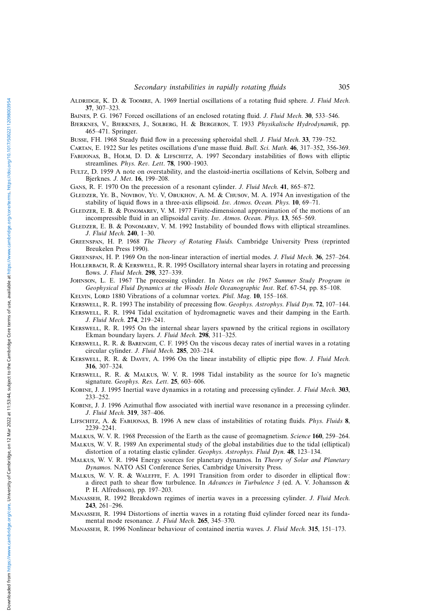ALDRIDGE, K. D. & TOOMRE, A. 1969 Inertial oscillations of a rotating fluid sphere. J. Fluid Mech. **37**, 307–323.

Baines, P. G. 1967 Forced oscillations of an enclosed rotating fluid. J. Fluid Mech. **30**, 533–546.

Bjerknes, V., Bjerknes, J., Solberg, H. & Bergeron, T. 1933 Physikalische Hydrodynamik, pp. 465–471. Springer.

Busse, FH. 1968 Steady fluid flow in a precessing spheroidal shell. J. Fluid Mech. **33**, 739–752.

- Cartan, E. 1922 Sur les petites oscillations d'une masse fluid. Bull. Sci. Math. **46**, 317–352, 356-369.
- Fabijonas, B., Holm, D. D. & Lifschitz, A. 1997 Secondary instabilities of flows with elliptic streamlines. Phys. Rev. Lett. **78**, 1900–1903.
- FULTZ, D. 1959 A note on overstability, and the elastoid-inertia oscillations of Kelvin, Solberg and Bjerknes. J. Met. **16**, 199–208.

Gans, R. F. 1970 On the precession of a resonant cylinder. J. Fluid Mech. **41**, 865–872.

- Gledzer, Ye. B., Novibov, Yu. V, Obukhov, A. M. & Chusov, M. A. 1974 An investigation of the stability of liquid flows in a three-axis ellipsoid. Isv. Atmos. Ocean. Phys. **10**, 69–71.
- GLEDZER, E. B. & PONOMAREV, V. M. 1977 Finite-dimensional approximation of the motions of an incompressible fluid in an ellipsoidal cavity. Isv. Atmos. Ocean. Phys. **13**, 565–569.
- GLEDZER, E. B. & PONOMAREV, V. M. 1992 Instability of bounded flows with elliptical streamlines. J. Fluid Mech. **240**, 1–30.
- Greenspan, H. P. 1968 The Theory of Rotating Fluids. Cambridge University Press (reprinted Breukelen Press 1990).

Greenspan, H. P. 1969 On the non-linear interaction of inertial modes. J. Fluid Mech. **36**, 257–264.

- HOLLERBACH, R. & KERSWELL, R. R. 1995 Oscillatory internal shear layers in rotating and precessing flows. J. Fluid Mech. **298**, 327–339.
- Johnson, L. E. 1967 The precessing cylinder. In Notes on the 1967 Summer Study Program in Geophysical Fluid Dynamics at the Woods Hole Oceanographic Inst. Ref. 67-54, pp. 85–108.

KELVIN, LORD 1880 Vibrations of a columnar vortex. Phil. Mag. 10, 155-168.

Kerswell, R. R. 1993 The instability of precessing flow. Geophys. Astrophys. Fluid Dyn. **72**, 107–144.

- Kerswell, R. R. 1994 Tidal excitation of hydromagnetic waves and their damping in the Earth. J. Fluid Mech. **274**, 219–241.
- Kerswell, R. R. 1995 On the internal shear layers spawned by the critical regions in oscillatory Ekman boundary layers. J. Fluid Mech. **298**, 311–325.
- Kerswell, R. R. & Barenghi, C. F. 1995 On the viscous decay rates of inertial waves in a rotating circular cylinder. J. Fluid Mech. **285**, 203–214.
- Kerswell, R. R. & Davey, A. 1996 On the linear instability of elliptic pipe flow. J. Fluid Mech. **316**, 307–324.
- Kerswell, R. R. & Malkus, W. V. R. 1998 Tidal instability as the source for Io's magnetic signature. Geophys. Res. Lett. **25**, 603–606.
- Kobine, J. J. 1995 Inertial wave dynamics in a rotating and precessing cylinder. J. Fluid Mech. **303**, 233–252.
- Kobine, J. J. 1996 Azimuthal flow associated with inertial wave resonance in a precessing cylinder. J. Fluid Mech. **319**, 387–406.
- Lifschitz, A. & Fabijonas, B. 1996 A new class of instabilities of rotating fluids. Phys. Fluids **8**, 2239–2241.
- Malkus, W. V. R. 1968 Precession of the Earth as the cause of geomagnetism. Science **160**, 259–264.
- Malkus, W. V. R. 1989 An experimental study of the global instabilities due to the tidal (elliptical) distortion of a rotating elastic cylinder. Geophys. Astrophys. Fluid Dyn. **48**, 123–134.

MALKUS, W. V. R. 1994 Energy sources for planetary dynamos. In Theory of Solar and Planetary Dynamos. NATO ASI Conference Series, Cambridge University Press.

- Malkus, W. V. R. & Waleffe, F. A. 1991 Transition from order to disorder in elliptical flow: a direct path to shear flow turbulence. In Advances in Turbulence 3 (ed. A. V. Johansson & P. H. Alfredsson), pp. 197–203.
- Manasseh, R. 1992 Breakdown regimes of inertia waves in a precessing cylinder. J. Fluid Mech. **243**, 261–296.
- Manasseh, R. 1994 Distortions of inertia waves in a rotating fluid cylinder forced near its fundamental mode resonance. J. Fluid Mech. **265**, 345–370.
- Manasseh, R. 1996 Nonlinear behaviour of contained inertia waves. J. Fluid Mech. **315**, 151–173.